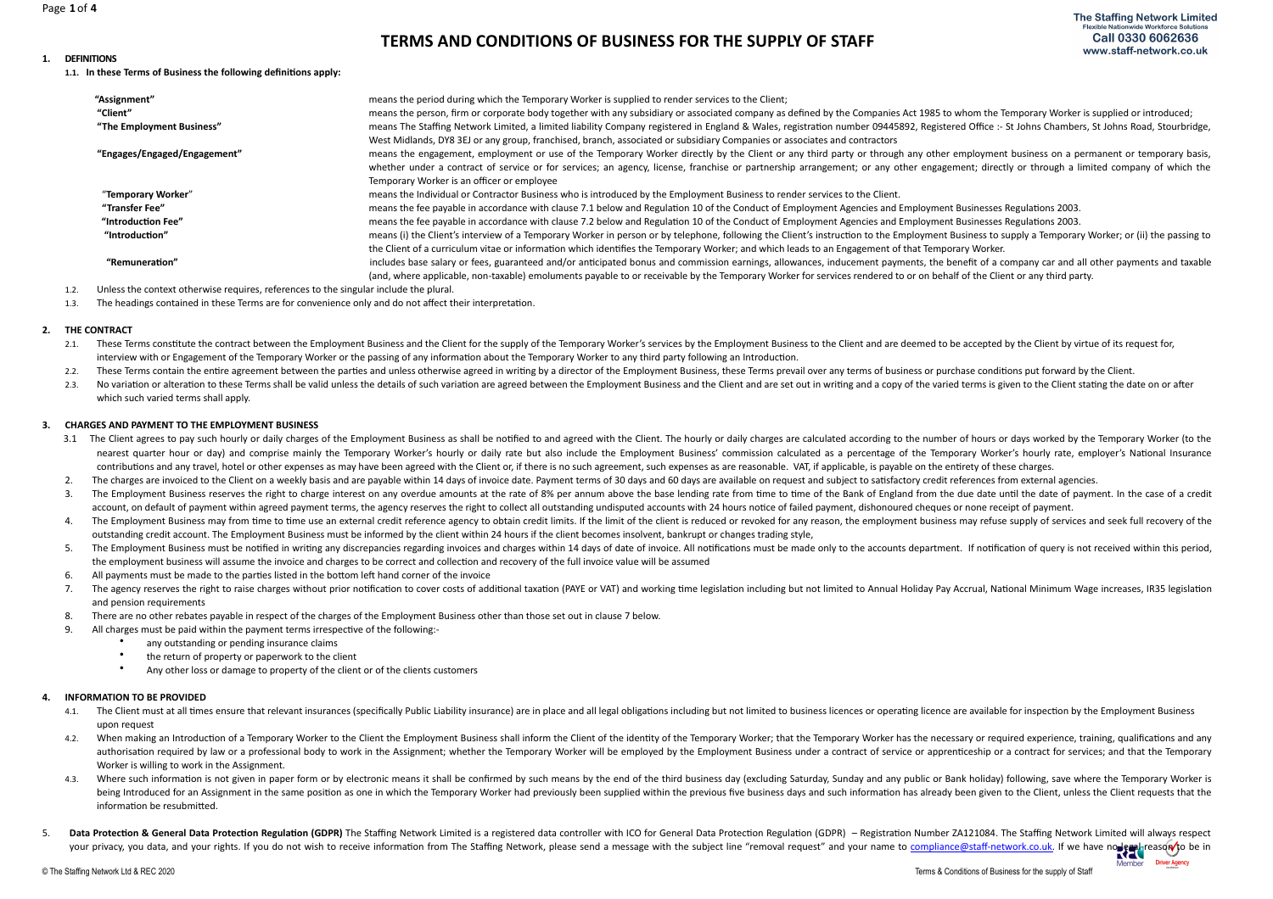# **TERMS AND CONDITIONS OF BUSINESS FOR THE SUPPLY OF STAFF**

#### 1. **DEFINITIONS**

1.1. In these Terms of Business the following definitions apply:

| "Assignment"                 | means the period during which the Temporary Worker is supplied to render services to the Client;                                                                                                     |
|------------------------------|------------------------------------------------------------------------------------------------------------------------------------------------------------------------------------------------------|
| "Client"                     | means the person, firm or corporate body together with any subsidiary or associated company as defined by the Companies Act 1985 to whom the Temporary Worker is supplied or introduced;             |
| "The Employment Business"    | means The Staffing Network Limited, a limited liability Company registered in England & Wales, registration number 09445892, Registered Office :- St Johns Chambers, St Johns Road, Stourbridge,     |
|                              | West Midlands, DY8 3EJ or any group, franchised, branch, associated or subsidiary Companies or associates and contractors                                                                            |
| "Engages/Engaged/Engagement" | means the engagement, employment or use of the Temporary Worker directly by the Client or any third party or through any other employment business on a permanent or temporary basis,                |
|                              | whether under a contract of service or for services; an agency, license, franchise or partnership arrangement; or any other engagement; directly or through a limited company of which the           |
|                              | Temporary Worker is an officer or employee                                                                                                                                                           |
| "Temporary Worker"           | means the Individual or Contractor Business who is introduced by the Employment Business to render services to the Client.                                                                           |
| "Transfer Fee"               | means the fee payable in accordance with clause 7.1 below and Regulation 10 of the Conduct of Employment Agencies and Employment Businesses Regulations 2003.                                        |
| "Introduction Fee"           | means the fee payable in accordance with clause 7.2 below and Regulation 10 of the Conduct of Employment Agencies and Employment Businesses Regulations 2003.                                        |
| "Introduction"               | means (i) the Client's interview of a Temporary Worker in person or by telephone, following the Client's instruction to the Employment Business to supply a Temporary Worker; or (ii) the passing to |
|                              | the Client of a curriculum vitae or information which identifies the Temporary Worker; and which leads to an Engagement of that Temporary Worker.                                                    |
| "Remuneration"               | includes base salary or fees, guaranteed and/or anticipated bonus and commission earnings, allowances, inducement payments, the benefit of a company car and all other payments and taxable          |
|                              | (and, where applicable, non-taxable) emoluments payable to or receivable by the Temporary Worker for services rendered to or on behalf of the Client or any third party.                             |

1.2. Unless the context otherwise requires, references to the singular include the plural.

1.3. The headings contained in these Terms are for convenience only and do not affect their interpretation.

#### **2. THE CONTRACT**

- 2.1. These Terms constitute the contract between the Employment Business and the Client for the supply of the Temporary Worker's services by the Employment Business to the Client and are deemed to be accepted by the Client interview with or Engagement of the Temporary Worker or the passing of any information about the Temporary Worker to any third party following an Introduction.
- 2.2. These Terms contain the entire agreement between the parties and unless otherwise agreed in writing by a director of the Employment Business, these Terms prevail over any terms of business or purchase conditions put f
- 2.3. No variation or alteration to these Terms shall be valid unless the details of such variation are agreed between the Employment Business and the Client and are set out in writing and a copy of the varied terms is give which such varied terms shall apply.

#### **3. CHARGES AND PAYMENT TO THE EMPLOYMENT BUSINESS**

- 3.1 The Client agrees to pay such hourly or daily charges of the Employment Business as shall be notified to and agreed with the Client. The hourly or daily charges are calculated according to the number of hours or days w nearest quarter hour or day) and comprise mainly the Temporary Worker's hourly or daily rate but also include the Employment Business' commission calculated as a percentage of the Temporary Worker's hourly rate, employer's contributions and any travel, hotel or other expenses as may have been agreed with the Client or, if there is no such agreement, such expenses as are reasonable. VAT, if applicable, is payable on the entirety of these char
- 2. The charges are invoiced to the Client on a weekly basis and are payable within 14 days of invoice date. Payment terms of 30 days and 60 days are available on request and subject to satisfactory credit references from e
- 3. The Employment Business reserves the right to charge interest on any overdue amounts at the rate of 8% per annum above the base lending rate from time to time of the Bank of England from the due date until the date of p account, on default of payment within agreed payment terms, the agency reserves the right to collect all outstanding undisputed accounts with 24 hours notice of failed payment, dishonoured cheques or none receipt of paymen
- 4. The Employment Business may from time to time use an external credit reference agency to obtain credit limits. If the limit of the client is reduced or revoked for any reason, the employment business may refuse supply o outstanding credit account. The Employment Business must be informed by the client within 24 hours if the client becomes insolvent, bankrupt or changes trading style,
- 5. The Employment Business must be notified in writing any discrepancies regarding invoices and charges within 14 days of date of invoice. All notifications must be made only to the accounts department. If notification of the employment business will assume the invoice and charges to be correct and collection and recovery of the full invoice value will be assumed
- 6. All payments must be made to the parties listed in the bottom left hand corner of the invoice
- 7. The agency reserves the right to raise charges without prior notification to cover costs of additional taxation (PAYE or VAT) and working time legislation including but not limited to Annual Holiday Pay Accrual, Nationa and pension requirements
- 8. There are no other rebates payable in respect of the charges of the Employment Business other than those set out in clause 7 below.
- 9. All charges must be paid within the payment terms irrespective of the following:-
	- any outstanding or pending insurance claims<br>• the return of property or paperwork to the cl
	- the return of property or paperwork to the client
	- Any other loss or damage to property of the client or of the clients customers

#### **4. INFORMATION TO BE PROVIDED**

- 4.1. The Client must at all times ensure that relevant insurances (specifically Public Liability insurance) are in place and all legal obligations including but not limited to business licences or operating licence are ava upon request
- 4.2. When making an Introduction of a Temporary Worker to the Client the Employment Business shall inform the Client of the identity of the Temporary Worker; that the Temporary Worker has the necessary or required experien authorisation required by law or a professional body to work in the Assignment; whether the Temporary Worker will be employed by the Employment Business under a contract of service or apprenticeship or a contract for servi Worker is willing to work in the Assignment.
- 4.3. Where such information is not given in paper form or by electronic means it shall be confirmed by such means by the end of the third business day (excluding Saturday, Sunday and any public or Bank holiday) following, being Introduced for an Assignment in the same position as one in which the Temporary Worker had previously been supplied within the previous five business days and such information has already been given to the Client, un information be resubmitted.
- 5. Data Protection & General Data Protection Regulation (GDPR) The Staffing Network Limited is a registered data controller with ICO for General Data Protection Regulation (GDPR) Registration Number ZA121084. The Staffin Data Protection & General Data Protection Regulation (SDFR) The Juan Buckwork milition of the Subject of Muscom Muscom Data Server with the subject line "removal request" and your name to [compliance@staff-network.co.uk.](mailto:compliance@staff-network.co.uk) If

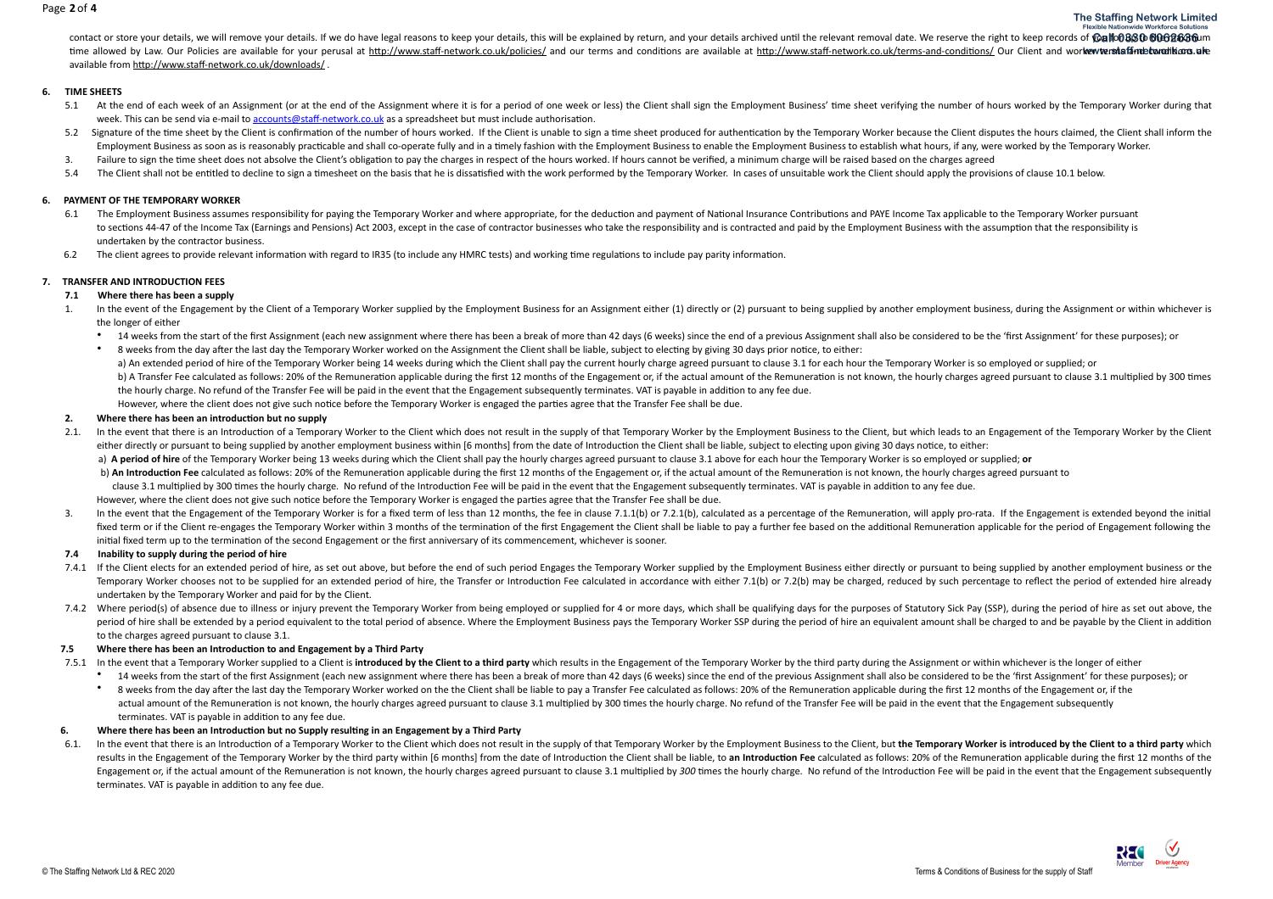#### Page **2** of **4**

contact or store your details, we will remove your details. If we do have legal reasons to keep your details, this will be explained by return, and your details archived until the relevant removal date. We reserve the righ time allowed by Law. Our Policies are available for your perusal at http://www.staff-network.co.uk/policies/ and our terms and conditions are available at http://www.staff-network.co.uk/terms-and-conditions/ Our Client and available from http://www.staff-network.co.uk/downloads/

#### **6. TIME SHEETS**

- 5.1 At the end of each week of an Assignment (or at the end of the Assignment where it is for a period of one week or less) the Client shall sign the Employment Business' time sheet verifying the number of hours worked by week. This can be send via e-mail to accounts@staff-network.co.uk as a spreadsheet but must include authorisation.
- 5.2 Signature of the time sheet by the Client is confirmation of the number of hours worked. If the Client is unable to sign a time sheet produced for authentication by the Temporary Worker because the Client disputes the Employment Business as soon as is reasonably practicable and shall co-operate fully and in a timely fashion with the Employment Business to enable the Employment Business to establish what hours, if any, were worked by the
- 3. Failure to sign the time sheet does not absolve the Client's obligation to pay the charges in respect of the hours worked. If hours cannot be verified, a minimum charge will be raised based on the charges agreed
- 5.4 The Client shall not be entitled to decline to sign a timesheet on the basis that he is dissatisfied with the work performed by the Temporary Worker. In cases of unsuitable work the Client should apply the provisions o

#### **6. PAYMENT OF THE TEMPORARY WORKER**

- 6.1 The Employment Business assumes responsibility for paying the Temporary Worker and where appropriate, for the deduction and payment of National Insurance Contributions and PAYE Income Tax applicable to the Temporary Wo to sections 44-47 of the Income Tax (Earnings and Pensions) Act 2003, except in the case of contractor businesses who take the responsibility and is contracted and paid by the Employment Business with the assumption that t undertaken by the contractor business.
- 6.2 The client agrees to provide relevant information with regard to IR35 (to include any HMRC tests) and working time regulations to include pay parity information.

### **7. TRANSFER AND INTRODUCTION FEES**

#### **7.1** Where there has been a supply

- 1. In the event of the Engagement by the Client of a Temporary Worker supplied by the Employment Business for an Assignment either (1) directly or (2) pursuant to being supplied by another employment business, during the A the longer of either
	- \* 14 weeks from the start of the first Assignment (each new assignment where there has been a break of more than 42 days (6 weeks) since the end of a previous Assignment shall also be considered to be the 'first Assignment
	- 8 weeks from the day after the last day the Temporary Worker worked on the Assignment the Client shall be liable, subject to electing by giving 30 days prior notice, to either: a) An extended period of hire of the Temporary Worker being 14 weeks during which the Client shall pay the current hourly charge agreed pursuant to clause 3.1 for each hour the Temporary Worker is so employed or supplied; b) A Transfer Fee calculated as follows: 20% of the Remuneration applicable during the first 12 months of the Engagement or, if the actual amount of the Remuneration is not known, the hourly charges agreed pursuant to clau the hourly charge. No refund of the Transfer Fee will be paid in the event that the Engagement subsequently terminates. VAT is payable in addition to any fee due. However, where the client does not give such notice before the Temporary Worker is engaged the parties agree that the Transfer Fee shall be due.

#### 2. Where there has been an introduction but no supply

2.1. In the event that there is an Introduction of a Temporary Worker to the Client which does not result in the supply of that Temporary Worker by the Employment Business to the Client, but which leads to an Engagement of either directly or pursuant to being supplied by another employment business within [6 months] from the date of Introduction the Client shall be liable, subject to electing upon giving 30 days notice, to either:

a) A period of hire of the Temporary Worker being 13 weeks during which the Client shall pay the hourly charges agreed pursuant to clause 3.1 above for each hour the Temporary Worker is so employed or supplied: or b) An Introduction Fee calculated as follows: 20% of the Remuneration applicable during the first 12 months of the Engagement or, if the actual amount of the Remuneration is not known, the hourly charges agreed pursuant to clause 3.1 multiplied by 300 times the hourly charge. No refund of the Introduction Fee will be paid in the event that the Engagement subsequently terminates. VAT is payable in addition to any fee due. However, where the client does not give such notice before the Temporary Worker is engaged the parties agree that the Transfer Fee shall be due.

3. In the event that the Engagement of the Temporary Worker is for a fixed term of less than 12 months, the fee in clause 7.1.1(b) or 7.2.1(b), calculated as a percentage of the Remuneration, will apply pro-rata. If the En fixed term or if the Client re-engages the Temporary Worker within 3 months of the termination of the first Engagement the Client shall be liable to pay a further fee based on the additional Remuneration applicable for the initial fixed term up to the termination of the second Engagement or the first anniversary of its commencement, whichever is sooner.

#### **7.4** Inability to supply during the period of hire

- 7.4.1 If the Client elects for an extended period of hire, as set out above, but before the end of such period Engages the Temporary Worker supplied by the Employment Business either directly or pursuant to being supplied Temporary Worker chooses not to be supplied for an extended period of hire, the Transfer or Introduction Fee calculated in accordance with either 7.1(b) or 7.2(b) may be charged, reduced by such percentage to reflect the p undertaken by the Temporary Worker and paid for by the Client.
- 7.4.2 Where period(s) of absence due to illness or injury prevent the Temporary Worker from being employed or supplied for 4 or more days, which shall be qualifying days for the purposes of Statutory Sick Pay (SSP), during period of hire shall be extended by a period equivalent to the total period of absence. Where the Employment Business pays the Temporary Worker SSP during the period of hire an equivalent amount shall be charged to and be to the charges agreed pursuant to clause 3.1.

#### **7.5** Where there has been an Introduction to and Engagement by a Third Party

- 7.5.1 In the event that a Temporary Worker supplied to a Client is introduced by the Client to a third party which results in the Engagement of the Temporary Worker by the third party during the Assignment or within whiche
	- \* 14 weeks from the start of the first Assignment (each new assignment where there has been a break of more than 42 days (6 weeks) since the end of the previous Assignment shall also be considered to be the 'first Assignme
	- \* 8 weeks from the day after the last day the Temporary Worker worked on the the Client shall be liable to pay a Transfer Fee calculated as follows: 20% of the Remuneration applicable during the first 12 months of the Enga actual amount of the Remuneration is not known, the hourly charges agreed pursuant to clause 3.1 multiplied by 300 times the hourly charge. No refund of the Transfer Fee will be paid in the event that the Engagement subseq terminates. VAT is payable in addition to any fee due.

#### 6. **Where there has been an Introduction but no Supply resulting in an Engagement by a Third Party**

6.1. In the event that there is an Introduction of a Temporary Worker to the Client which does not result in the supply of that Temporary Worker by the Employment Business to the Client, but the Temporary Worker is introdu results in the Engagement of the Temporary Worker by the third party within [6 months] from the date of Introduction the Client shall be liable, to an Introduction Fee calculated as follows: 20% of the Remuneration applica Engagement or, if the actual amount of the Remuneration is not known, the hourly charges agreed pursuant to clause 3.1 multiplied by 300 times the hourly charge. No refund of the Introduction Fee will be paid in the event terminates. VAT is payable in addition to any fee due.

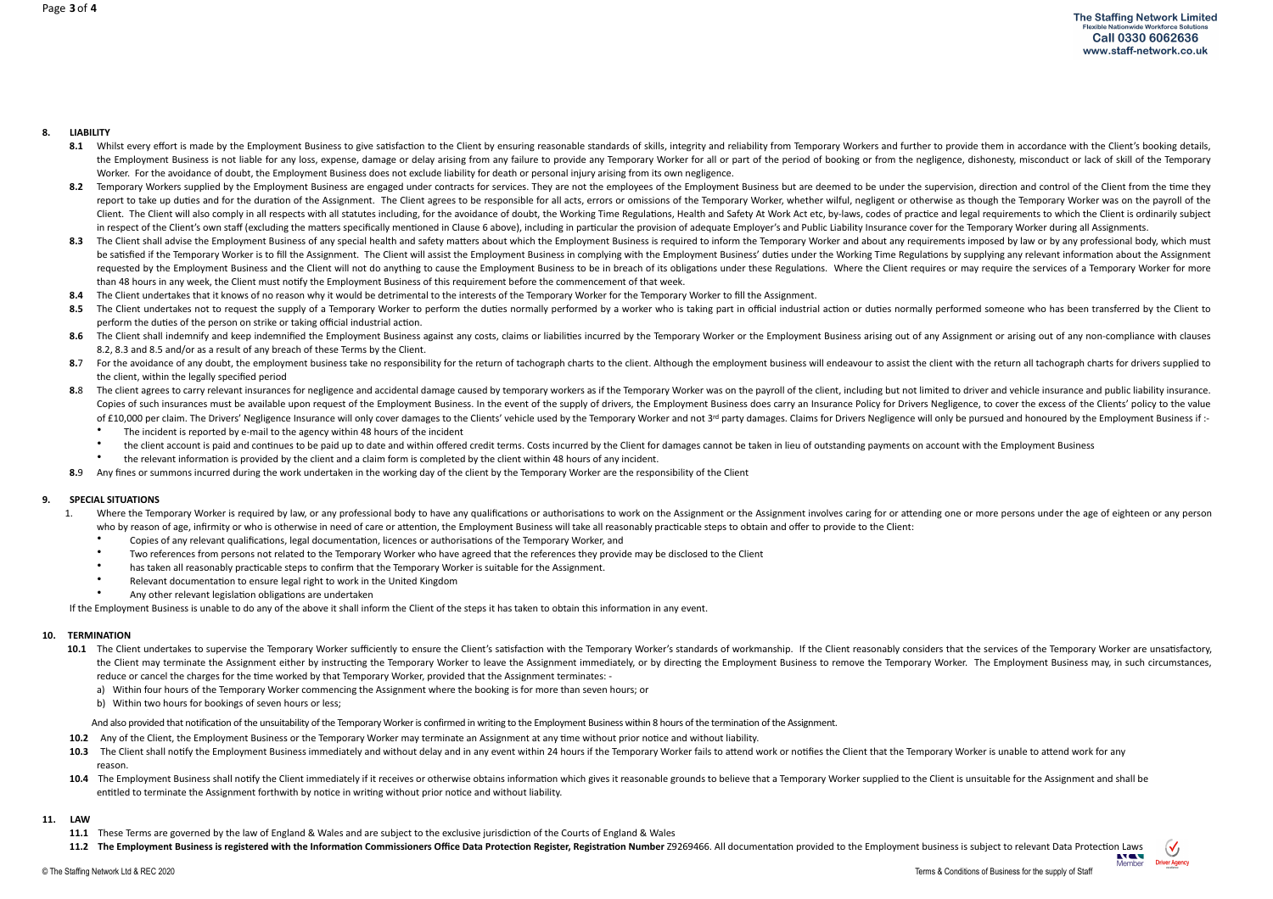#### **8. LIABILITY**

- 8.1 Whilst every effort is made by the Employment Business to give satisfaction to the Client by ensuring reasonable standards of skills, integrity and reliability from Temporary Workers and further to provide them in acco the Employment Business is not liable for any loss, expense, damage or delay arising from any failure to provide any Temporary Worker for all or part of the period of booking or from the negligence, dishonesty, misconduct Worker. For the avoidance of doubt, the Employment Business does not exclude liability for death or personal injury arising from its own negligence.
- 8.2 Temporary Workers supplied by the Employment Business are engaged under contracts for services. They are not the employees of the Employment Business but are deemed to be under the supervision, direction and control of report to take up duties and for the duration of the Assignment. The Client agrees to be responsible for all acts, errors or omissions of the Temporary Worker, whether wilful, negligent or otherwise as though the Temporary Client. The Client will also comply in all respects with all statutes including, for the avoidance of doubt, the Working Time Regulations, Health and Safety At Work Act etc, by-laws, codes of practice and legal requirement in respect of the Client's own staff (excluding the matters specifically mentioned in Clause 6 above), including in particular the provision of adequate Employer's and Public Liability Insurance cover for the Temporary Wor
- 8.3 The Client shall advise the Employment Business of any special health and safety matters about which the Employment Business is required to inform the Temporary Worker and about any requirements imposed by law or by an be satisfied if the Temporary Worker is to fill the Assignment. The Client will assist the Employment Business in complying with the Employment Business' duties under the Working Time Regulations by supplying any relevant requested by the Employment Business and the Client will not do anything to cause the Employment Business to be in breach of its obligations under these Regulations. Where the Client requires or may require the services of than 48 hours in any week, the Client must notify the Employment Business of this requirement before the commencement of that week.
- 8.4 The Client undertakes that it knows of no reason why it would be detrimental to the interests of the Temporary Worker for the Temporary Worker to fill the Assignment.
- 8.5 The Client undertakes not to request the supply of a Temporary Worker to perform the duties normally performed by a worker who is taking part in official industrial action or duties normally performed someone who has b perform the duties of the person on strike or taking official industrial action.
- 8.6 The Client shall indemnify and keep indemnified the Employment Business against any costs, claims or liabilities incurred by the Temporary Worker or the Employment Business arising out of any Assignment or arising out 8.2, 8.3 and 8.5 and/or as a result of any breach of these Terms by the Client.
- 8.7 For the avoidance of any doubt, the employment business take no responsibility for the return of tachograph charts to the client. Although the employment business will endeavour to assist the client with the return all the client, within the legally specified period
- 8.8 The client agrees to carry relevant insurances for negligence and accidental damage caused by temporary workers as if the Temporary Worker was on the payroll of the client, including but not limited to driver and vehic Copies of such insurances must be available upon request of the Employment Business. In the event of the supply of drivers, the Employment Business does carry an Insurance Policy for Drivers Negligence, to cover the excess of £10,000 per claim. The Drivers' Negligence Insurance will only cover damages to the Clients' vehicle used by the Temporary Worker and not 3<sup>rd</sup> party damages. Claims for Drivers Negligence will only be pursued and honou
	- The incident is reported by e-mail to the agency within 48 hours of the incident
	- the client account is paid and continues to be paid up to date and within offered credit terms. Costs incurred by the Client for damages cannot be taken in lieu of outstanding payments on account with the Employment Busine
	- the relevant information is provided by the client and a claim form is completed by the client within 48 hours of any incident.
- 8.9 Any fines or summons incurred during the work undertaken in the working day of the client by the Temporary Worker are the responsibility of the Client

#### **9.** SPECIAL SITUATIONS

- 1. Where the Temporary Worker is required by law, or any professional body to have any qualifications or authorisations to work on the Assignment or the Assignment involves caring for or attending one or more persons under who by reason of age, infirmity or who is otherwise in need of care or attention, the Employment Business will take all reasonably practicable steps to obtain and offer to provide to the Client:
	- Copies of any relevant qualifications, legal documentation, licences or authorisations of the Temporary Worker, and
	- Two references from persons not related to the Temporary Worker who have agreed that the references they provide may be disclosed to the Client
	- has taken all reasonably practicable steps to confirm that the Temporary Worker is suitable for the Assignment.
	- Relevant documentation to ensure legal right to work in the United Kingdom
	- Any other relevant legislation obligations are undertaken

If the Employment Business is unable to do any of the above it shall inform the Client of the steps it has taken to obtain this information in any event.

#### **10. TERMINATION**

- 10.1 The Client undertakes to supervise the Temporary Worker sufficiently to ensure the Client's satisfaction with the Temporary Worker's standards of workmanship. If the Client reasonably considers that the services of th the Client may terminate the Assignment either by instructing the Temporary Worker to leave the Assignment immediately, or by directing the Employment Business to remove the Temporary Worker. The Employment Business may, i reduce or cancel the charges for the time worked by that Temporary Worker, provided that the Assignment terminates:
	- a) Within four hours of the Temporary Worker commencing the Assignment where the booking is for more than seven hours; or
	- b) Within two hours for bookings of seven hours or less;

And also provided that notification of the unsuitability of the Temporary Worker is confirmed in writing to the Employment Business within 8 hours of the termination of the Assignment.

- **10.2** Any of the Client, the Employment Business or the Temporary Worker may terminate an Assignment at any time without prior notice and without liability.
- 10.3 The Client shall notify the Employment Business immediately and without delay and in any event within 24 hours if the Temporary Worker fails to attend work or notifies the Client that the Temporary Worker is unable to reason.
- 10.4 The Employment Business shall notify the Client immediately if it receives or otherwise obtains information which gives it reasonable grounds to believe that a Temporary Worker supplied to the Client is unsuitable for entitled to terminate the Assignment forthwith by notice in writing without prior notice and without liability.

#### **11. LAW**

- **11.1** These Terms are governed by the law of England & Wales and are subject to the exclusive jurisdiction of the Courts of England & Wales
- 11.2 The Employment Business is registered with the Information Commissioners Office Data Protection Register, Registration Number Z9269466. All documentation provided to the Employment business is subject to relevant Data